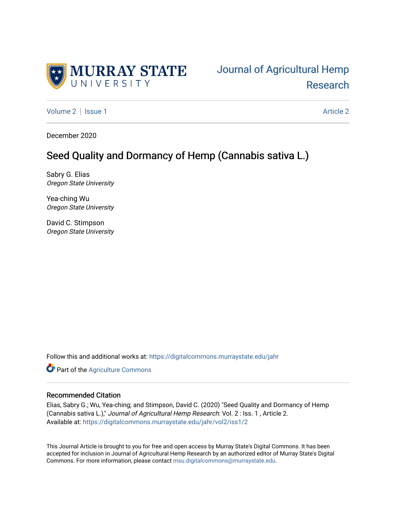

[Volume 2](https://digitalcommons.murraystate.edu/jahr/vol2) | [Issue 1](https://digitalcommons.murraystate.edu/jahr/vol2/iss1) [Article 2](https://digitalcommons.murraystate.edu/jahr/vol2/iss1/2) | Article 2 Article 2 | Article 2 | Article 2 | Article 2 | Article 2 | Article 2

December 2020

# Seed Quality and Dormancy of Hemp (Cannabis sativa L.)

Sabry G. Elias Oregon State University

Yea-ching Wu Oregon State University

David C. Stimpson Oregon State University

Follow this and additional works at: [https://digitalcommons.murraystate.edu/jahr](https://digitalcommons.murraystate.edu/jahr?utm_source=digitalcommons.murraystate.edu%2Fjahr%2Fvol2%2Fiss1%2F2&utm_medium=PDF&utm_campaign=PDFCoverPages)

**Part of the [Agriculture Commons](http://network.bepress.com/hgg/discipline/1076?utm_source=digitalcommons.murraystate.edu%2Fjahr%2Fvol2%2Fiss1%2F2&utm_medium=PDF&utm_campaign=PDFCoverPages)** 

## Recommended Citation

Elias, Sabry G.; Wu, Yea-ching; and Stimpson, David C. (2020) "Seed Quality and Dormancy of Hemp (Cannabis sativa L.)," Journal of Agricultural Hemp Research: Vol. 2 : Iss. 1 , Article 2. Available at: [https://digitalcommons.murraystate.edu/jahr/vol2/iss1/2](https://digitalcommons.murraystate.edu/jahr/vol2/iss1/2?utm_source=digitalcommons.murraystate.edu%2Fjahr%2Fvol2%2Fiss1%2F2&utm_medium=PDF&utm_campaign=PDFCoverPages)

This Journal Article is brought to you for free and open access by Murray State's Digital Commons. It has been accepted for inclusion in Journal of Agricultural Hemp Research by an authorized editor of Murray State's Digital Commons. For more information, please contact [msu.digitalcommons@murraystate.edu.](mailto:msu.digitalcommons@murraystate.edu)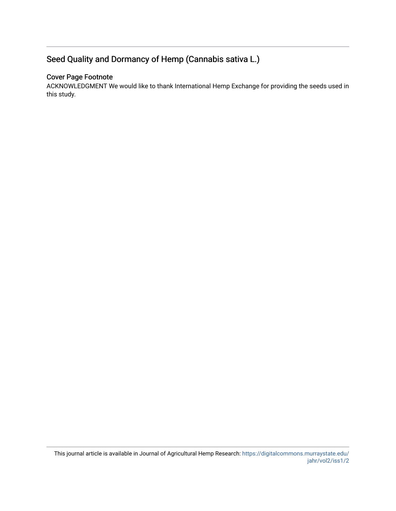# Seed Quality and Dormancy of Hemp (Cannabis sativa L.)

## Cover Page Footnote

ACKNOWLEDGMENT We would like to thank International Hemp Exchange for providing the seeds used in this study.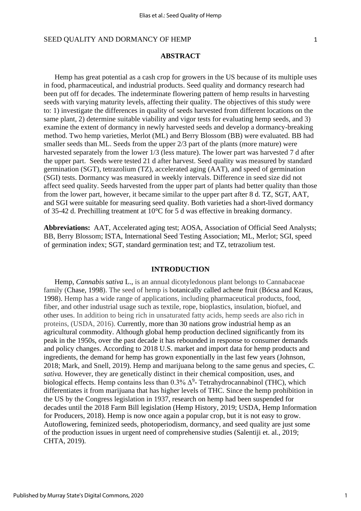## **ABSTRACT**

Hemp has great potential as a cash crop for growers in the US because of its multiple uses in food, pharmaceutical, and industrial products. Seed quality and dormancy research had been put off for decades. The indeterminate flowering pattern of hemp results in harvesting seeds with varying maturity levels, affecting their quality. The objectives of this study were to: 1) investigate the differences in quality of seeds harvested from different locations on the same plant, 2) determine suitable viability and vigor tests for evaluating hemp seeds, and 3) examine the extent of dormancy in newly harvested seeds and develop a dormancy-breaking method. Two hemp varieties, Merlot (ML) and Berry Blossom (BB) were evaluated. BB had smaller seeds than ML. Seeds from the upper 2/3 part of the plants (more mature) were harvested separately from the lower 1/3 (less mature). The lower part was harvested 7 d after the upper part. Seeds were tested 21 d after harvest. Seed quality was measured by standard germination (SGT), tetrazolium (TZ), accelerated aging (AAT), and speed of germination (SGI) tests. Dormancy was measured in weekly intervals. Difference in seed size did not affect seed quality. Seeds harvested from the upper part of plants had better quality than those from the lower part, however, it became similar to the upper part after 8 d. TZ, SGT, AAT, and SGI were suitable for measuring seed quality. Both varieties had a short-lived dormancy of 35-42 d. Prechilling treatment at 10°C for 5 d was effective in breaking dormancy.

**Abbreviations:** AAT, Accelerated aging test; AOSA, Association of Official Seed Analysts; BB, Berry Blossom; ISTA, International Seed Testing Association; ML, Merlot; SGI, speed of germination index; SGT, standard germination test; and TZ, tetrazolium test.

## **INTRODUCTION**

Hemp, *Cannabis sativa* L., is an annual dicotyledonous plant belongs to Cannabaceae family (Chase, 1998). The seed of hemp is botanically called achene fruit (Bócsa and Kraus, 1998). Hemp has a wide range of applications, including pharmaceutical products, food, fiber, and other industrial usage such as textile, rope, bioplastics, insulation, biofuel, and other uses. In addition to being rich in unsaturated fatty acids, hemp seeds are also rich in proteins, (USDA, 2016). Currently, more than 30 nations grow industrial hemp as an agricultural commodity. Although global hemp production declined significantly from its peak in the 1950s, over the past decade it has rebounded in response to consumer demands and policy changes. According to 2018 U.S. market and import data for hemp products and ingredients, the demand for hemp has grown exponentially in the last few years (Johnson, 2018; Mark, and Snell, 2019). Hemp and marijuana belong to the same genus and species, *C. sativa.* However, they are genetically distinct in their chemical composition, uses, and biological effects. Hemp contains less than  $0.3\%$   $\Delta^9$ - Tetrahydrocannabinol (THC), which differentiates it from marijuana that has higher levels of THC. Since the hemp prohibition in the US by the Congress legislation in 1937, research on hemp had been suspended for decades until the 2018 Farm Bill legislation (Hemp History, 2019; USDA, Hemp Information for Producers, 2018). Hemp is now once again a popular crop, but it is not easy to grow. Autoflowering, feminized seeds, photoperiodism, dormancy, and seed quality are just some of the production issues in urgent need of comprehensive studies (Salentiji et. al., 2019; CHTA, 2019).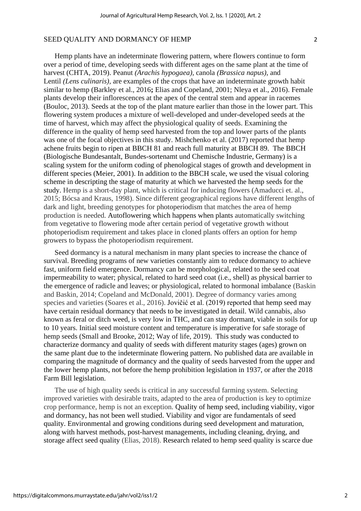Hemp plants have an indeterminate flowering pattern, where flowers continue to form over a period of time, developing seeds with different ages on the same plant at the time of harvest (CHTA, 2019). Peanut *[\(Arachis hypogaea\)](https://www.sciencedirect.com/topics/agricultural-and-biological-sciences/arachis-hypogaea),* canola *(Brassica napus),* and [Lentil](https://www.sciencedirect.com/topics/food-science/lentil) *(Lens culinaris),* are examples of the crops that have an indeterminate growth habit similar to hemp (Barkley et al., 2016**;** Elias and Copeland, 2001; [Nleya](https://www.sciencedirect.com/science/article/pii/B9780123944375001935#!) et al., 2016). Female plants develop their inflorescences at the apex of the central stem and appear in racemes (Bouloc, 2013). Seeds at the top of the plant mature earlier than those in the lower part. This flowering system produces a mixture of well-developed and under-developed seeds at the time of harvest, which may affect the physiological quality of seeds. Examining the difference in the quality of hemp seed harvested from the top and lower parts of the plants was one of the focal objectives in this study. Mishchenko et al. (2017) reported that hemp achene fruits begin to ripen at BBCH 81 and reach full maturity at BBCH 89. The BBCH (Biologische Bundesantalt, Bundes-sortenamt und Chemische Industrie, Germany) is a scaling system for the uniform coding of phenological stages of growth and development in different species (Meier, 2001). In addition to the BBCH scale, we used the visual coloring scheme in descripting the stage of maturity at which we harvested the hemp seeds for the study. Hemp is a short-day plant, which is critical for inducing flowers (Amaducci et. al., 2015; Bócsa and Kraus, 1998). Since different geographical regions have different lengths of dark and light, breeding genotypes for photoperiodism that matches the area of hemp production is needed. Autoflowering which happens when plants automatically switching from vegetative to flowering mode after certain period of vegetative growth without photoperiodism requirement and takes place in cloned plants offers an option for hemp growers to bypass the photoperiodism requirement.

Seed dormancy is a natural mechanism in many plant species to increase the chance of survival. Breeding programs of new varieties constantly aim to reduce dormancy to achieve fast, uniform field emergence. Dormancy can be morphological, related to the seed coat impermeability to water; physical, related to hard seed coat (i.e., shell) as physical barrier to the emergence of radicle and leaves; or physiological, related to hormonal imbalance (Baskin and Baskin, 2014; Copeland and McDonald, 2001). Degree of dormancy varies among species and varieties (Soares et al., 2016). Jovičić et al. (2019) reported that hemp seed may have certain residual dormancy that needs to be investigated in detail. Wild cannabis, also known as feral or ditch weed, is very low in THC, and can stay dormant, viable in soils for up to 10 years. Initial seed moisture content and temperature is imperative for safe storage of hemp seeds (Small and Brooke, 2012; Way of life, 2019). This study was conducted to characterize dormancy and quality of seeds with different maturity stages (ages) grown on the same plant due to the indeterminate flowering pattern. No published data are available in comparing the magnitude of dormancy and the quality of seeds harvested from the upper and the lower hemp plants, not before the hemp prohibition legislation in 1937, or after the 2018 Farm Bill legislation.

The use of high quality seeds is critical in any successful farming system. Selecting improved varieties with desirable traits, adapted to the area of production is key to optimize crop performance, hemp is not an exception. Quality of hemp seed, including viability, vigor and dormancy, has not been well studied. Viability and vigor are fundamentals of seed quality. Environmental and growing conditions during seed development and maturation, along with harvest methods, post-harvest managements, including cleaning, drying, and storage affect seed quality (Elias, 2018). Research related to hemp seed quality is scarce due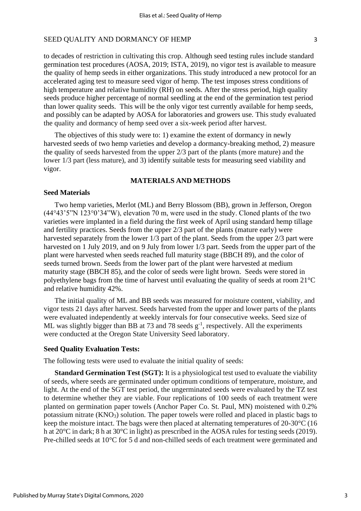to decades of restriction in cultivating this crop. Although seed testing rules include standard germination test procedures (AOSA, 2019; ISTA, 2019), no vigor test is available to measure the quality of hemp seeds in either organizations. This study introduced a new protocol for an accelerated aging test to measure seed vigor of hemp. The test imposes stress conditions of high temperature and relative humidity (RH) on seeds. After the stress period, high quality seeds produce higher percentage of normal seedling at the end of the germination test period than lower quality seeds. This will be the only vigor test currently available for hemp seeds, and possibly can be adapted by AOSA for laboratories and growers use. This study evaluated the quality and dormancy of hemp seed over a six-week period after harvest.

The objectives of this study were to: 1) examine the extent of dormancy in newly harvested seeds of two hemp varieties and develop a dormancy-breaking method, 2) measure the quality of seeds harvested from the upper 2/3 part of the plants (more mature) and the lower 1/3 part (less mature), and 3) identify suitable tests for measuring seed viability and vigor.

## **MATERIALS AND METHODS**

## **Seed Materials**

Two hemp varieties, Merlot (ML) and Berry Blossom (BB), grown in Jefferson, Oregon (44°43'5"N 123°0'34"W), elevation 70 m, were used in the study. Cloned plants of the two varieties were implanted in a field during the first week of April using standard hemp tillage and fertility practices. Seeds from the upper 2/3 part of the plants (mature early) were harvested separately from the lower 1/3 part of the plant. Seeds from the upper 2/3 part were harvested on 1 July 2019, and on 9 July from lower 1/3 part. Seeds from the upper part of the plant were harvested when seeds reached full maturity stage (BBCH 89), and the color of seeds turned brown. Seeds from the lower part of the plant were harvested at medium maturity stage (BBCH 85), and the color of seeds were light brown. Seeds were stored in polyethylene bags from the time of harvest until evaluating the quality of seeds at room 21°C and relative humidity 42%.

The initial quality of ML and BB seeds was measured for moisture content, viability, and vigor tests 21 days after harvest. Seeds harvested from the upper and lower parts of the plants were evaluated independently at weekly intervals for four consecutive weeks. Seed size of ML was slightly bigger than BB at 73 and 78 seeds  $g^{-1}$ , respectively. All the experiments were conducted at the Oregon State University Seed laboratory.

## **Seed Quality Evaluation Tests:**

The following tests were used to evaluate the initial quality of seeds:

**Standard Germination Test (SGT):** It is a physiological test used to evaluate the viability of seeds, where seeds are germinated under optimum conditions of temperature, moisture, and light. At the end of the SGT test period, the ungerminated seeds were evaluated by the TZ test to determine whether they are viable. Four replications of 100 seeds of each treatment were planted on germination paper towels (Anchor Paper Co. St. Paul, MN) moistened with 0.2% potassium nitrate (KNO3) solution. The paper towels were rolled and placed in plastic bags to keep the moisture intact. The bags were then placed at alternating temperatures of 20-30°C (16 h at 20°C in dark; 8 h at 30°C in light) as prescribed in the AOSA rules for testing seeds (2019). Pre-chilled seeds at 10°C for 5 d and non-chilled seeds of each treatment were germinated and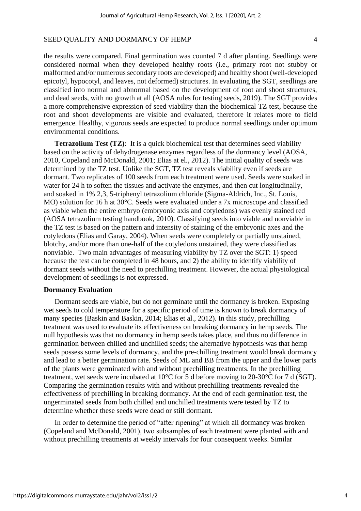the results were compared. Final germination was counted 7 d after planting. Seedlings were considered normal when they developed healthy roots (i.e., primary root not stubby or malformed and/or numerous secondary roots are developed) and healthy shoot (well-developed epicotyl, hypocotyl, and leaves, not deformed) structures. In evaluating the SGT, seedlings are classified into normal and abnormal based on the development of root and shoot structures, and dead seeds, with no growth at all (AOSA rules for testing seeds, 2019). The SGT provides a more comprehensive expression of seed viability than the biochemical TZ test, because the root and shoot developments are visible and evaluated, therefore it relates more to field emergence. Healthy, vigorous seeds are expected to produce normal seedlings under optimum environmental conditions.

**Tetrazolium Test (TZ):** It is a quick biochemical test that determines seed viability based on the activity of dehydrogenase enzymes regardless of the dormancy level (AOSA, 2010, Copeland and McDonald, 2001; Elias at el., 2012). The initial quality of seeds was determined by the TZ test. Unlike the SGT, TZ test reveals viability even if seeds are dormant. Two replicates of 100 seeds from each treatment were used. Seeds were soaked in water for 24 h to soften the tissues and activate the enzymes, and then cut longitudinally, and soaked in 1% 2,3, 5-triphenyl tetrazolium chloride (Sigma-Aldrich, Inc., St. Louis, MO) solution for 16 h at 30°C. Seeds were evaluated under a 7x microscope and classified as viable when the entire embryo (embryonic axis and cotyledons) was evenly stained red (AOSA tetrazolium testing handbook, 2010). Classifying seeds into viable and nonviable in the TZ test is based on the pattern and intensity of staining of the embryonic axes and the cotyledons (Elias and Garay, 2004). When seeds were completely or partially unstained, blotchy, and/or more than one-half of the cotyledons unstained, they were classified as nonviable. Two main advantages of measuring viability by TZ over the SGT: 1) speed because the test can be completed in 48 hours, and 2) the ability to identify viability of dormant seeds without the need to prechilling treatment. However, the actual physiological development of seedlings is not expressed.

### **Dormancy Evaluation**

Dormant seeds are viable, but do not germinate until the dormancy is broken. Exposing wet seeds to cold temperature for a specific period of time is known to break dormancy of many species (Baskin and Baskin, 2014; Elias et al., 2012). In this study, prechilling treatment was used to evaluate its effectiveness on breaking dormancy in hemp seeds. The null hypothesis was that no dormancy in hemp seeds takes place, and thus no difference in germination between chilled and unchilled seeds; the alternative hypothesis was that hemp seeds possess some levels of dormancy, and the pre-chilling treatment would break dormancy and lead to a better germination rate. Seeds of ML and BB from the upper and the lower parts of the plants were germinated with and without prechilling treatments. In the prechilling treatment, wet seeds were incubated at 10°C for 5 d before moving to 20-30°C for 7 d (SGT). Comparing the germination results with and without prechilling treatments revealed the effectiveness of prechilling in breaking dormancy. At the end of each germination test, the ungerminated seeds from both chilled and unchilled treatments were tested by TZ to determine whether these seeds were dead or still dormant.

In order to determine the period of "after ripening" at which all dormancy was broken (Copeland and McDonald, 2001), two subsamples of each treatment were planted with and without prechilling treatments at weekly intervals for four consequent weeks. Similar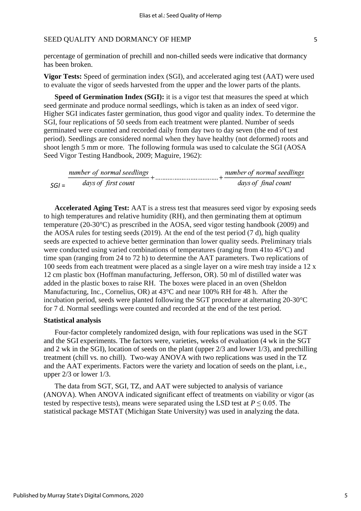percentage of germination of prechill and non-chilled seeds were indicative that dormancy has been broken.

**Vigor Tests:** Speed of germination index (SGI), and accelerated aging test (AAT) were used to evaluate the vigor of seeds harvested from the upper and the lower parts of the plants.

**Speed of Germination Index (SGI):** it is a vigor test that measures the speed at which seed germinate and produce normal seedlings, which is taken as an index of seed vigor. Higher SGI indicates faster germination, thus good vigor and quality index. To determine the SGI, four replications of 50 seeds from each treatment were planted. Number of seeds germinated were counted and recorded daily from day two to day seven (the end of test period). Seedlings are considered normal when they have healthy (not deformed) roots and shoot length 5 mm or more. The following formula was used to calculate the SGI (AOSA Seed Vigor Testing Handbook, 2009; Maguire, 1962):

 $\frac{number\ of\ normal\ seedlings}{days\ of\ first\ count} + \dots + \frac{number\ of\ normal\ seedlings}{days\ of\ final\ count}$  $SGI =$ 

**Accelerated Aging Test:** AAT is a stress test that measures seed vigor by exposing seeds to high temperatures and relative humidity (RH), and then germinating them at optimum temperature (20-30°C) as prescribed in the AOSA, seed vigor testing handbook (2009) and the AOSA rules for testing seeds (2019). At the end of the test period (7 d), high quality seeds are expected to achieve better germination than lower quality seeds. Preliminary trials were conducted using varied combinations of temperatures (ranging from 41to 45°C) and time span (ranging from 24 to 72 h) to determine the AAT parameters. Two replications of 100 seeds from each treatment were placed as a single layer on a wire mesh tray inside a 12 x 12 cm plastic box (Hoffman manufacturing, Jefferson, OR). 50 ml of distilled water was added in the plastic boxes to raise RH. The boxes were placed in an oven (Sheldon Manufacturing, Inc., Cornelius, OR) at 43°C and near 100% RH for 48 h. After the incubation period, seeds were planted following the SGT procedure at alternating 20-30°C for 7 d. Normal seedlings were counted and recorded at the end of the test period.

#### **Statistical analysis**

Four-factor completely randomized design, with four replications was used in the SGT and the SGI experiments. The factors were, varieties, weeks of evaluation (4 wk in the SGT and 2 wk in the SGI), location of seeds on the plant (upper 2/3 and lower 1/3), and prechilling treatment (chill vs. no chill). Two-way ANOVA with two replications was used in the TZ and the AAT experiments. Factors were the variety and location of seeds on the plant, i.e., upper 2/3 or lower 1/3.

The data from SGT, SGI, TZ, and AAT were subjected to analysis of variance (ANOVA). When ANOVA indicated significant effect of treatments on viability or vigor (as tested by respective tests), means were separated using the LSD test at  $P \le 0.05$ . The statistical package MSTAT (Michigan State University) was used in analyzing the data.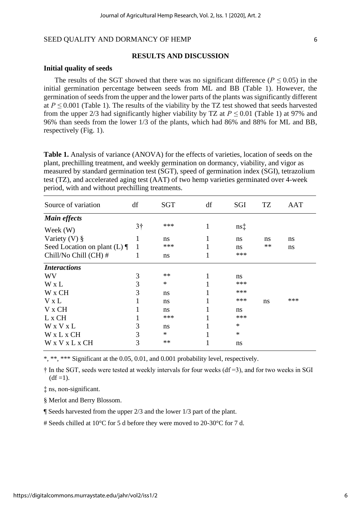#### **RESULTS AND DISCUSSION**

#### **Initial quality of seeds**

The results of the SGT showed that there was no significant difference ( $P \le 0.05$ ) in the initial germination percentage between seeds from ML and BB (Table 1). However, the germination of seeds from the upper and the lower parts of the plants was significantly different at  $P \le 0.001$  (Table 1). The results of the viability by the TZ test showed that seeds harvested from the upper 2/3 had significantly higher viability by TZ at  $P \le 0.01$  (Table 1) at 97% and 96% than seeds from the lower 1/3 of the plants, which had 86% and 88% for ML and BB, respectively (Fig. 1).

**Table 1.** Analysis of variance (ANOVA) for the effects of varieties, location of seeds on the plant, prechilling treatment, and weekly germination on dormancy, viability, and vigor as measured by standard germination test (SGT), speed of germination index (SGI), tetrazolium test (TZ), and accelerated aging test (AAT) of two hemp varieties germinated over 4-week period, with and without prechilling treatments.

| Source of variation             | df             | SGT    | df | SGI           | TZ   | <b>AAT</b> |
|---------------------------------|----------------|--------|----|---------------|------|------------|
| <b>Main effects</b>             |                |        |    |               |      |            |
| Week $(W)$                      | 3 <sup>†</sup> | ***    |    | $ns\ddagger$  |      |            |
| Variety $(V)$ §                 |                | ns     |    | ns            | ns   | ns         |
| Seed Location on plant (L) $\P$ | 1              | ***    |    | ns            | $**$ | ns         |
| Chill/No Chill (CH) #           |                | ns     |    | ***           |      |            |
| <b>Interactions</b>             |                |        |    |               |      |            |
| <b>WV</b>                       | 3              | **     |    | ns            |      |            |
| W x L                           | 3              | $\ast$ |    | ***           |      |            |
| W x CH                          | 3              | ns     |    | ***           |      |            |
| $V \times L$                    |                | ns     |    | ***           | ns   | ***        |
| V x CH                          |                | ns     |    | <sub>ns</sub> |      |            |
| L x CH                          |                | ***    |    | ***           |      |            |
| W x V x L                       | 3              | ns     |    | *             |      |            |
| W x L x CH                      | 3              | $\ast$ |    | $\ast$        |      |            |
| W x V x L x CH                  | 3              | $**$   |    | ns            |      |            |

\*, \*\*, \*\*\* Significant at the 0.05, 0.01, and 0.001 probability level, respectively.

 $\dagger$  In the SGT, seeds were tested at weekly intervals for four weeks (df = 3), and for two weeks in SGI  $(df=1).$ 

‡ ns, non-significant.

§ Merlot and Berry Blossom.

¶ Seeds harvested from the upper 2/3 and the lower 1/3 part of the plant.

# Seeds chilled at 10°C for 5 d before they were moved to 20-30°C for 7 d.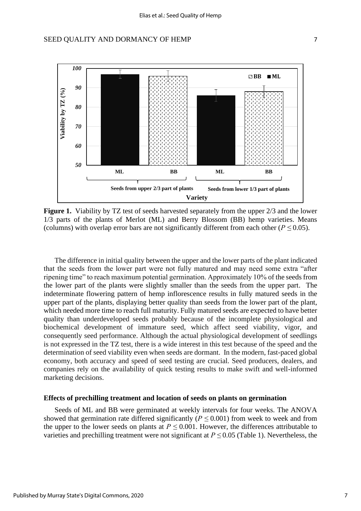## SEED QUALITY AND DORMANCY OF HEMP  $\overline{7}$



Figure 1. Viability by TZ test of seeds harvested separately from the upper  $2/3$  and the lower 1/3 parts of the plants of Merlot (ML) and Berry Blossom (BB) hemp varieties. Means (columns) with overlap error bars are not significantly different from each other ( $P \le 0.05$ ).

The difference in initial quality between the upper and the lower parts of the plant indicated that the seeds from the lower part were not fully matured and may need some extra "after ripening time" to reach maximum potential germination. Approximately 10% of the seeds from the lower part of the plants were slightly smaller than the seeds from the upper part. The indeterminate flowering pattern of hemp inflorescence results in fully matured seeds in the upper part of the plants, displaying better quality than seeds from the lower part of the plant, which needed more time to reach full maturity. Fully matured seeds are expected to have better quality than underdeveloped seeds probably because of the incomplete physiological and biochemical development of immature seed, which affect seed viability, vigor, and consequently seed performance. Although the actual physiological development of seedlings is not expressed in the TZ test, there is a wide interest in this test because of the speed and the determination of seed viability even when seeds are dormant. In the modern, fast-paced global economy, both accuracy and speed of seed testing are crucial. Seed producers, dealers, and companies rely on the availability of quick testing results to make swift and well-informed marketing decisions.

## **Effects of prechilling treatment and location of seeds on plants on germination**

Seeds of ML and BB were germinated at weekly intervals for four weeks. The ANOVA showed that germination rate differed significantly ( $P \le 0.001$ ) from week to week and from the upper to the lower seeds on plants at  $P \leq 0.001$ . However, the differences attributable to varieties and prechilling treatment were not significant at  $P \le 0.05$  (Table 1). Nevertheless, the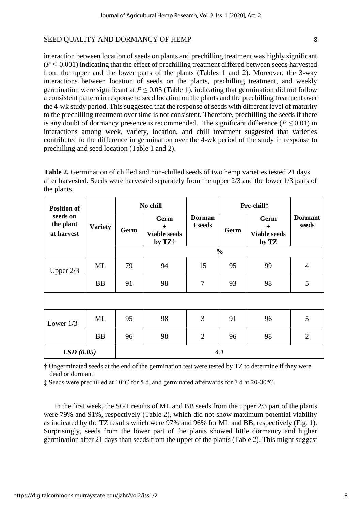interaction between location of seeds on plants and prechilling treatment was highly significant  $(P \le 0.001)$  indicating that the effect of prechilling treatment differed between seeds harvested from the upper and the lower parts of the plants (Tables 1 and 2). Moreover, the 3-way interactions between location of seeds on the plants, prechilling treatment, and weekly germination were significant at  $P \leq 0.05$  (Table 1), indicating that germination did not follow a consistent pattern in response to seed location on the plants and the prechilling treatment over the 4-wk study period. This suggested that the response of seeds with different level of maturity to the prechilling treatment over time is not consistent. Therefore, prechilling the seeds if there is any doubt of dormancy presence is recommended. The significant difference ( $P \le 0.01$ ) in interactions among week, variety, location, and chill treatment suggested that varieties contributed to the difference in germination over the 4-wk period of the study in response to prechilling and seed location (Table 1 and 2).

**Table 2.** Germination of chilled and non-chilled seeds of two hemp varieties tested 21 days after harvested. Seeds were harvested separately from the upper 2/3 and the lower 1/3 parts of the plants.

| <b>Position of</b><br>seeds on<br>the plant<br>at harvest | <b>Variety</b> | No chill |                                              |                          | Pre-chill <sup>+</sup> |                                             |                         |  |
|-----------------------------------------------------------|----------------|----------|----------------------------------------------|--------------------------|------------------------|---------------------------------------------|-------------------------|--|
|                                                           |                | Germ     | Germ<br>$+$<br><b>Viable seeds</b><br>by TZ+ | <b>Dorman</b><br>t seeds | Germ                   | Germ<br>$+$<br><b>Viable seeds</b><br>by TZ | <b>Dormant</b><br>seeds |  |
|                                                           |                |          |                                              |                          |                        |                                             |                         |  |
| Upper $2/3$                                               | ML             | 79       | 94                                           | 15                       | 95                     | 99                                          | $\overline{4}$          |  |
|                                                           | <b>BB</b>      | 91       | 98                                           | 7                        | 93                     | 98                                          | 5                       |  |
|                                                           |                |          |                                              |                          |                        |                                             |                         |  |
| Lower $1/3$                                               | ML             | 95       | 98                                           | 3                        | 91                     | 96                                          | 5                       |  |
|                                                           | <b>BB</b>      | 96       | 98                                           | $\overline{2}$           | 96                     | 98                                          | $\overline{2}$          |  |
| LSD(0.05)                                                 |                | 4.1      |                                              |                          |                        |                                             |                         |  |

† Ungerminated seeds at the end of the germination test were tested by TZ to determine if they were dead or dormant.

‡ Seeds were prechilled at 10°C for 5 d, and germinated afterwards for 7 d at 20-30°C.

In the first week, the SGT results of ML and BB seeds from the upper 2/3 part of the plants were 79% and 91%, respectively (Table 2), which did not show maximum potential viability as indicated by the TZ results which were 97% and 96% for ML and BB, respectively (Fig. 1). Surprisingly, seeds from the lower part of the plants showed little dormancy and higher germination after 21 days than seeds from the upper of the plants (Table 2). This might suggest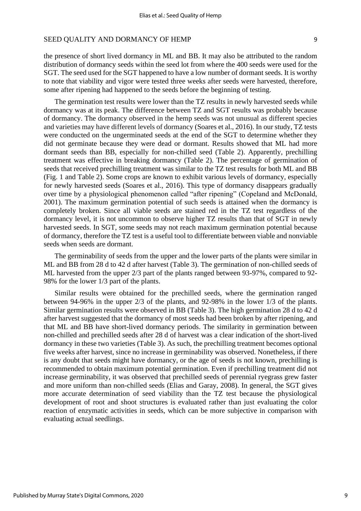the presence of short lived dormancy in ML and BB. It may also be attributed to the random distribution of dormancy seeds within the seed lot from where the 400 seeds were used for the SGT. The seed used for the SGT happened to have a low number of dormant seeds. It is worthy to note that viability and vigor were tested three weeks after seeds were harvested, therefore, some after ripening had happened to the seeds before the beginning of testing.

The germination test results were lower than the TZ results in newly harvested seeds while dormancy was at its peak. The difference between TZ and SGT results was probably because of dormancy. The dormancy observed in the hemp seeds was not unusual as different species and varieties may have different levels of dormancy (Soares et al., 2016). In our study, TZ tests were conducted on the ungerminated seeds at the end of the SGT to determine whether they did not germinate because they were dead or dormant. Results showed that ML had more dormant seeds than BB, especially for non-chilled seed (Table 2). Apparently, prechilling treatment was effective in breaking dormancy (Table 2). The percentage of germination of seeds that received prechilling treatment was similar to the TZ test results for both ML and BB (Fig. 1 and Table 2). Some crops are known to exhibit various levels of dormancy, especially for newly harvested seeds (Soares et al., 2016). This type of dormancy disappears gradually over time by a physiological phenomenon called "after ripening" (Copeland and McDonald, 2001). The maximum germination potential of such seeds is attained when the dormancy is completely broken. Since all viable seeds are stained red in the TZ test regardless of the dormancy level, it is not uncommon to observe higher TZ results than that of SGT in newly harvested seeds. In SGT, some seeds may not reach maximum germination potential because of dormancy, therefore the TZ test is a useful tool to differentiate between viable and nonviable seeds when seeds are dormant.

The germinability of seeds from the upper and the lower parts of the plants were similar in ML and BB from 28 d to 42 d after harvest (Table 3). The germination of non-chilled seeds of ML harvested from the upper 2/3 part of the plants ranged between 93-97%, compared to 92- 98% for the lower 1/3 part of the plants.

Similar results were obtained for the prechilled seeds, where the germination ranged between 94-96% in the upper 2/3 of the plants, and 92-98% in the lower 1/3 of the plants. Similar germination results were observed in BB (Table 3). The high germination 28 d to 42 d after harvest suggested that the dormancy of most seeds had been broken by after ripening, and that ML and BB have short-lived dormancy periods. The similarity in germination between non-chilled and prechilled seeds after 28 d of harvest was a clear indication of the short-lived dormancy in these two varieties (Table 3). As such, the prechilling treatment becomes optional five weeks after harvest, since no increase in germinability was observed. Nonetheless, if there is any doubt that seeds might have dormancy, or the age of seeds is not known, prechilling is recommended to obtain maximum potential germination. Even if prechilling treatment did not increase germinability, it was observed that prechilled seeds of perennial ryegrass grew faster and more uniform than non-chilled seeds (Elias and Garay, 2008). In general, the SGT gives more accurate determination of seed viability than the TZ test because the physiological development of root and shoot structures is evaluated rather than just evaluating the color reaction of enzymatic activities in seeds, which can be more subjective in comparison with evaluating actual seedlings.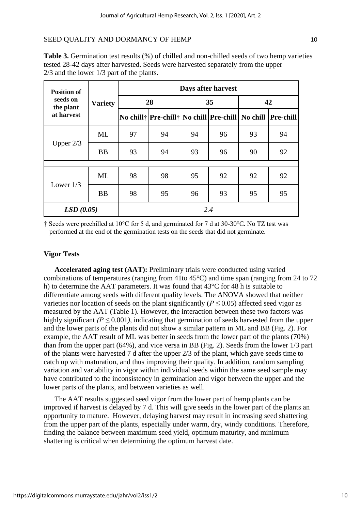| <b>Position of</b><br>seeds on<br>the plant<br>at harvest | <b>Variety</b> | Days after harvest |                                                              |    |    |    |    |  |
|-----------------------------------------------------------|----------------|--------------------|--------------------------------------------------------------|----|----|----|----|--|
|                                                           |                | 28                 |                                                              | 35 |    | 42 |    |  |
|                                                           |                |                    | No chill† Pre-chill† No chill Pre-chill  No chill  Pre-chill |    |    |    |    |  |
| Upper $2/3$                                               | ML             | 97                 | 94                                                           | 94 | 96 | 93 | 94 |  |
|                                                           | <b>BB</b>      | 93                 | 94                                                           | 93 | 96 | 90 | 92 |  |
|                                                           |                |                    |                                                              |    |    |    |    |  |
| Lower $1/3$                                               | ML             | 98                 | 98                                                           | 95 | 92 | 92 | 92 |  |
|                                                           | <b>BB</b>      | 98                 | 95                                                           | 96 | 93 | 95 | 95 |  |
| LSD(0.05)                                                 |                | 2.4                |                                                              |    |    |    |    |  |

**Table 3.** Germination test results (%) of chilled and non-chilled seeds of two hemp varieties tested 28-42 days after harvested. Seeds were harvested separately from the upper 2/3 and the lower 1/3 part of the plants.

† Seeds were prechilled at 10°C for 5 d, and germinated for 7 d at 30-30°C. No TZ test was performed at the end of the germination tests on the seeds that did not germinate.

## **Vigor Tests**

**Accelerated aging test (AAT):** Preliminary trials were conducted using varied combinations of temperatures (ranging from 41to 45°C) and time span (ranging from 24 to 72 h) to determine the AAT parameters. It was found that 43°C for 48 h is suitable to differentiate among seeds with different quality levels. The ANOVA showed that neither varieties nor location of seeds on the plant significantly ( $P \le 0.05$ ) affected seed vigor as measured by the AAT (Table 1). However, the interaction between these two factors was highly significant  $(P \le 0.001)$ , indicating that germination of seeds harvested from the upper and the lower parts of the plants did not show a similar pattern in ML and BB (Fig. 2). For example, the AAT result of ML was better in seeds from the lower part of the plants (70%) than from the upper part (64%), and vice versa in BB (Fig. 2). Seeds from the lower 1/3 part of the plants were harvested 7 d after the upper 2/3 of the plant, which gave seeds time to catch up with maturation, and thus improving their quality. In addition, random sampling variation and variability in vigor within individual seeds within the same seed sample may have contributed to the inconsistency in germination and vigor between the upper and the lower parts of the plants, and between varieties as well.

The AAT results suggested seed vigor from the lower part of hemp plants can be improved if harvest is delayed by 7 d. This will give seeds in the lower part of the plants an opportunity to mature. However, delaying harvest may result in increasing seed shattering from the upper part of the plants, especially under warm, dry, windy conditions. Therefore, finding the balance between maximum seed yield, optimum maturity, and minimum shattering is critical when determining the optimum harvest date.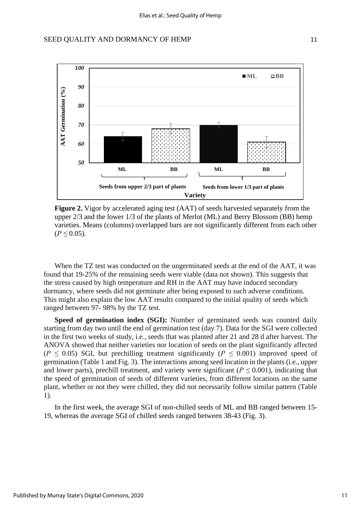

 **Figure 2.** Vigor by accelerated aging test (AAT) of seeds harvested separately from the upper 2/3 and the lower 1/3 of the plants of Merlot (ML) and Berry Blossom (BB) hemp varieties. Means (columns) overlapped bars are not significantly different from each other  $(P \le 0.05)$ .

When the TZ test was conducted on the ungerminated seeds at the end of the AAT, it was found that 19-25% of the remaining seeds were viable (data not shown). This suggests that the stress caused by high temperature and RH in the AAT may have induced secondary dormancy, where seeds did not germinate after being exposed to such adverse conditions. This might also explain the low AAT results compared to the initial quality of seeds which ranged between 97- 98% by the TZ test.

**Speed of germination index (SGI):** Number of germinated seeds was counted daily starting from day two until the end of germination test (day 7). Data for the SGI were collected in the first two weeks of study, i.e., seeds that was planted after 21 and 28 d after harvest. The ANOVA showed that neither varieties nor location of seeds on the plant significantly affected ( $P \leq 0.05$ ) SGI, but prechilling treatment significantly ( $P \leq 0.001$ ) improved speed of germination (Table 1 and Fig. 3). The interactions among seed location in the plants (i.e., upper and lower parts), prechill treatment, and variety were significant ( $P \le 0.001$ ), indicating that the speed of germination of seeds of different varieties, from different locations on the same plant, whether or not they were chilled, they did not necessarily follow similar pattern (Table 1).

In the first week, the average SGI of non-chilled seeds of ML and BB ranged between 15- 19, whereas the average SGI of chilled seeds ranged between 38-43 (Fig. 3).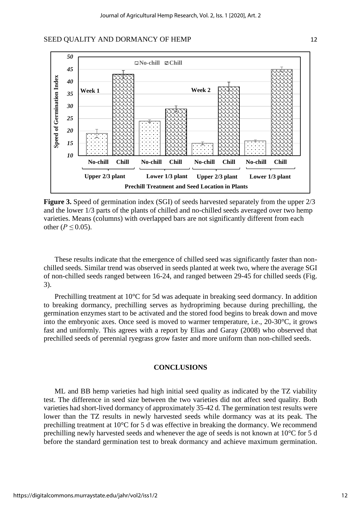

**Figure 3.** Speed of germination index (SGI) of seeds harvested separately from the upper  $2/3$ and the lower 1/3 parts of the plants of chilled and no-chilled seeds averaged over two hemp varieties. Means (columns) with overlapped bars are not significantly different from each other ( $P$  ≤ 0.05).

These results indicate that the emergence of chilled seed was significantly faster than nonchilled seeds. Similar trend was observed in seeds planted at week two, where the average SGI of non-chilled seeds ranged between 16-24, and ranged between 29-45 for chilled seeds (Fig. 3).

Prechilling treatment at 10°C for 5d was adequate in breaking seed dormancy. In addition to breaking dormancy, prechilling serves as hydropriming because during prechilling, the germination enzymes start to be activated and the stored food begins to break down and move into the embryonic axes. Once seed is moved to warmer temperature, i.e., 20-30°C, it grows fast and uniformly. This agrees with a report by Elias and Garay (2008) who observed that prechilled seeds of perennial ryegrass grow faster and more uniform than non-chilled seeds.

## **CONCLUSIONS**

ML and BB hemp varieties had high initial seed quality as indicated by the TZ viability test. The difference in seed size between the two varieties did not affect seed quality. Both varieties had short-lived dormancy of approximately 35-42 d. The germination test results were lower than the TZ results in newly harvested seeds while dormancy was at its peak. The prechilling treatment at 10°C for 5 d was effective in breaking the dormancy. We recommend prechilling newly harvested seeds and whenever the age of seeds is not known at 10°C for 5 d before the standard germination test to break dormancy and achieve maximum germination.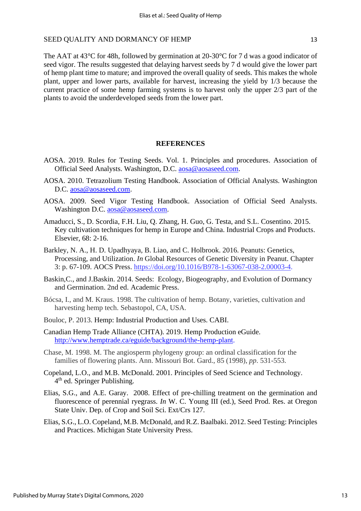The AAT at 43<sup>o</sup>C for 48h, followed by germination at 20-30<sup>o</sup>C for 7 d was a good indicator of seed vigor. The results suggested that delaying harvest seeds by 7 d would give the lower part of hemp plant time to mature; and improved the overall quality of seeds. This makes the whole plant, upper and lower parts, available for harvest, increasing the yield by 1/3 because the current practice of some hemp farming systems is to harvest only the upper 2/3 part of the plants to avoid the underdeveloped seeds from the lower part.

## **REFERENCES**

- AOSA. 2019. Rules for Testing Seeds. Vol. 1. Principles and procedures. Association of Official Seed Analysts. Washington, D.C. [aosa@aosaseed.com.](about:blank)
- AOSA. 2010. Tetrazolium Testing Handbook. Association of Official Analysts. Washington D.C. [aosa@aosaseed.com.](about:blank)
- AOSA. 2009. Seed Vigor Testing Handbook. Association of Official Seed Analysts. Washington D.C. [aosa@aosaseed.com.](about:blank)
- [Amaducci, S., D. Scordia, F.H. Liu, Q. Zhang, H. Guo, G. Testa,](https://www.sciencedirect.com/science/article/pii/S0926669014003987#!) and [S.L. Cosentino.](https://www.sciencedirect.com/science/article/pii/S0926669014003987#!) 2015. Key cultivation techniques for hemp in Europe and China. [Industrial Crops and Products.](https://www.sciencedirect.com/science/journal/09266690) Elsevier, [68:](https://www.sciencedirect.com/science/journal/09266690/68/supp/C) 2-16.
- [Barkley, N. A., H. D. Upadhyaya, B. Liao, and C. Holbrook.](https://www.sciencedirect.com/science/article/pii/B9781630670382000034#!) 2016. [Peanuts:](https://www.sciencedirect.com/science/book/9781630670382) Genetics, Processing, and Utilization. *In* Global Resources of Genetic Diversity in Peanut. Chapter 3: p. 67-109. AOCS Press. [https://doi.org/10.1016/B978-1-63067-038-2.00003-4.](https://doi.org/10.1016/B978-1-63067-038-2.00003-4)
- Baskin,C., and J.Baskin. 2014. Seeds: Ecology, Biogeography, and Evolution of Dormancy and Germination. 2nd ed. Academic Press.
- Bócsa, I., and M. Kraus. 1998. The cultivation of hemp. Botany, varieties, cultivation and harvesting hemp tech. Sebastopol, CA, USA.
- Bouloc, P. 2013. Hemp: Industrial Production and Uses. CABI.
- Canadian Hemp Trade Alliance (CHTA). 2019. Hemp Production eGuide. [http://www.hemptrade.ca/eguide/background/the-hemp-plant.](http://www.hemptrade.ca/eguide/background/the-hemp-plant)
- Chase, M. 1998. M. The angiosperm phylogeny group: an ordinal classification for the families of flowering plants. Ann. Missouri Bot. Gard., 85 (1998), *pp*. 531-553.
- Copeland, L.O., and M.B. McDonald. 2001. Principles of Seed Science and Technology. 4<sup>th</sup> ed. Springer Publishing.
- Elias, S.G., and A.E. Garay. 2008. Effect of pre-chilling treatment on the germination and fluorescence of perennial ryegrass. *In* W. C. Young III (ed.), Seed Prod. Res. at Oregon State Univ. Dep. of Crop and Soil Sci. Ext/Crs 127.
- Elias, S.G., L.O. Copeland, M.B. McDonald, and R.Z. Baalbaki. 2012. Seed Testing: Principles and Practices. Michigan State University Press.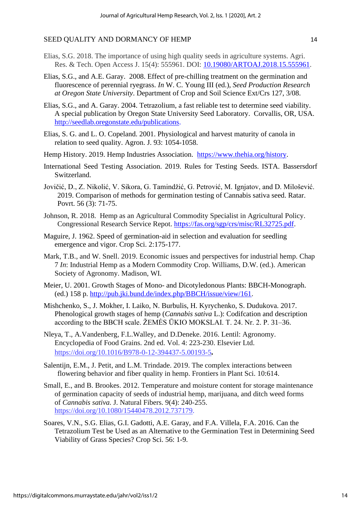- Elias, S.G. 2018. The importance of using high quality seeds in agriculture systems. Agri. Res. & Tech. Open Access J. 15(4): 555961. DOI: [10.19080/ARTOAJ.2018.15.555961.](http://dx.doi.org/10.19080/ARTOAJ.2018.15.555961)
- Elias, S.G., and A.E. Garay. 2008. Effect of pre-chilling treatment on the germination and fluorescence of perennial ryegrass. *In* W. C. Young III (ed.), *Seed Production Research at Oregon State University*. Department of Crop and Soil Science Ext/Crs 127, 3/08.
- Elias, S.G., and A. Garay. 2004. Tetrazolium, a fast reliable test to determine seed viability. A special publication by Oregon State University Seed Laboratory. Corvallis, OR, USA. [http://seedlab.oregonstate.edu/publications.](http://seedlab.oregonstate.edu/publications)
- Elias, S. G. and L. O. Copeland. 2001. Physiological and harvest maturity of canola in relation to seed quality. Agron. J. 93: 1054-1058.
- Hemp History. 2019. Hemp Industries Association. [https://www.thehia.org/history.](https://www.thehia.org/history)
- International Seed Testing Association. 2019. Rules for Testing Seeds. ISTA. Bassersdorf Switzerland.
- Jovičić, D., Z. Nikolić, V. Sikora, G. Tamindžić, G. Petrović, M. Ignjatov, and D. Milošević. 2019. Comparison of methods for germination testing of Cannabis sativa seed. Ratar. Povrt. 56 (3): 71-75.
- Johnson, R. 2018. Hemp as an Agricultural Commodity Specialist in Agricultural Policy. Congressional Research Service Repot. [https://fas.org/sgp/crs/misc/RL32725.pdf.](https://fas.org/sgp/crs/misc/RL32725.pdf)
- Maguire, J. 1962. Speed of germination-aid in selection and evaluation for seedling emergence and vigor. Crop Sci. 2:175-177.
- Mark, T.B., and W. Snell. 2019. Economic issues and perspectives for industrial hemp. Chap 7 *In*: Industrial Hemp as a Modern Commodity Crop. Williams, D.W. (ed.). American Society of Agronomy. Madison, WI.
- Meier, U. 2001. Growth Stages of Mono- and Dicotyledonous Plants: BBCH-Monograph. (ed.) 158 p. [http://pub.jki.bund.de/index.php/BBCH/issue/view/161.](http://pub.jki.bund.de/index.php/BBCH/issue/view/161)
- Mishchenko, S., J. Mokher, I. Laiko, N. Burbulis, H. Kyrychenko, S. Dudukova. 2017. Phenological growth stages of hemp (*Cannabis sativa* L.): Codifcation and description according to the BBCH scale. ŽEMĖS ŪKIO MOKSLAI. T. 24. Nr. 2. P. 31–36.
- [Nleya,](https://www.sciencedirect.com/science/article/pii/B9780123944375001935#!) T., [A.Vandenberg, F.L.Walley,](https://www.sciencedirect.com/science/article/pii/B9780123944375001935#!) and [D.Deneke.](https://www.sciencedirect.com/science/article/pii/B9780123944375001935#!) 2016. Lentil: Agronomy. [Encyclopedia of Food Grains. 2nd ed. V](https://www.sciencedirect.com/science/referenceworks/9780123947864)ol. 4: 223-230. Elsevier Ltd. <https://doi.org/10.1016/B978-0-12-394437-5.00193-5>*.*
- Salentij[n, E.M.,](https://www.ncbi.nlm.nih.gov/pubmed/?term=Salentijn%20EM%5BAuthor%5D&cauthor=true&cauthor_uid=31156677) [J. Petit,](https://www.ncbi.nlm.nih.gov/pubmed/?term=Petit%20J%5BAuthor%5D&cauthor=true&cauthor_uid=31156677) and [L.M. Trindade.](https://www.ncbi.nlm.nih.gov/pubmed/?term=Trindade%20LM%5BAuthor%5D&cauthor=true&cauthor_uid=31156677) 2019. The complex interactions between flowering behavior and fiber quality in hemp. Frontiers in Plant Sci. 10:614.
- [Small, E., and](https://www.tandfonline.com/author/Small%2C+Ernest) [B. Brookes.](https://www.tandfonline.com/author/Brookes%2C+Brenda) 2012. Temperature and moisture content for storage maintenance of germination capacity of seeds of industrial hemp, marijuana, and ditch weed forms of *Cannabis sativa.* J. Natural Fibers. 9(4): 240-255. [https://doi.org/10.1080/15440478.2012.737179.](https://doi.org/10.1080/15440478.2012.737179)
- [Soares,](https://agsci.oregonstate.edu/biblio?f%5Bauthor%5D=26251) V.N., S.G. [Elias, G](https://agsci.oregonstate.edu/biblio?f%5Bauthor%5D=26256).I. [Gadotti, A](https://agsci.oregonstate.edu/biblio?f%5Bauthor%5D=26261).E. [Garay,](https://agsci.oregonstate.edu/biblio?f%5Bauthor%5D=26266) and F.A. [Villela, F.A.](https://agsci.oregonstate.edu/biblio?f%5Bauthor%5D=26271) 2016. [Can the](https://cropandsoil.oregonstate.edu/biblio/can-tetrazolium-test-be-used-alternative-germination-test-determining-seed-viability-grass)  [Tetrazolium Test be Used as an Alternative to the Germination Test in Determining Seed](https://cropandsoil.oregonstate.edu/biblio/can-tetrazolium-test-be-used-alternative-germination-test-determining-seed-viability-grass)  [Viability of Grass Species?](https://cropandsoil.oregonstate.edu/biblio/can-tetrazolium-test-be-used-alternative-germination-test-determining-seed-viability-grass) Crop Sci. 56: 1-9.